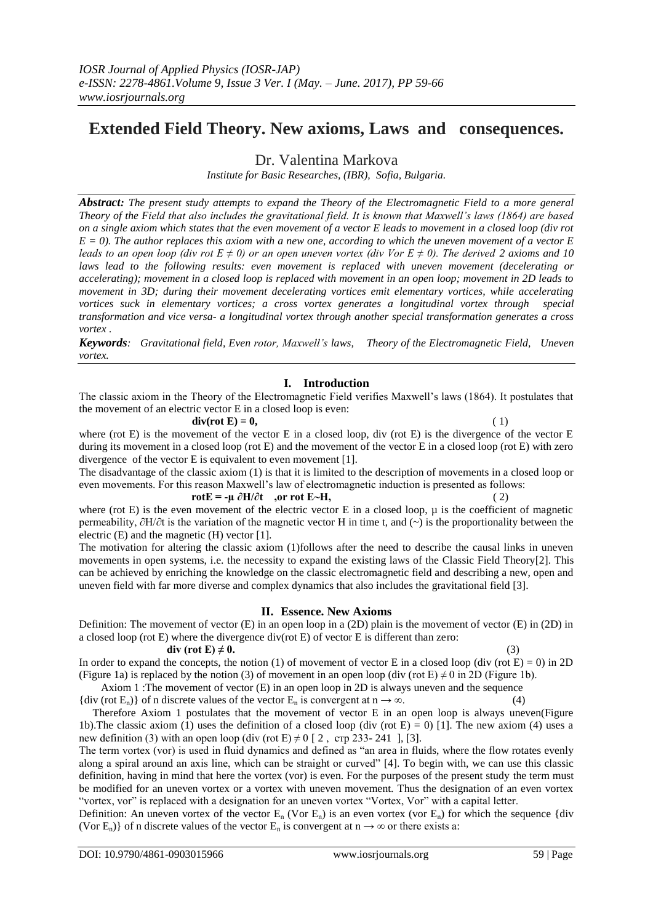# **Extended Field Theory. New axioms, Laws and consequences.**

Dr. Valentina Markova

*Institute for Basic Researches, (IBR), Sofia, Bulgaria.*

*Abstract: The present study attempts to expand the Theory of the Electromagnetic Field to a more general Theory of the Field that also includes the gravitational field. It is known that Maxwell's laws (1864) are based on a single axiom which states that the even movement of a vector E leads to movement in a closed loop (div rot E = 0). The author replaces this axiom with a new one, according to which the uneven movement of a vector E leads to an open loop (div rot E*  $\neq$  *0) or an open uneven vortex (div Vor E*  $\neq$  *0). The derived 2 axioms and 10* laws lead to the following results: even movement is replaced with uneven movement (decelerating or *accelerating); movement in a closed loop is replaced with movement in an open loop; movement in 2D leads to movement in 3D; during their movement decelerating vortices emit elementary vortices, while accelerating vortices suck in elementary vortices; a cross vortex generates a longitudinal vortex through special transformation and vice versa- a longitudinal vortex through another special transformation generates a cross vortex .*

*Keywords: Gravitational field, Even rotor, Maxwell's laws, Theory of the Electromagnetic Field, Uneven vortex.* 

# **I. Introduction**

The classic axiom in the Theory of the Electromagnetic Field verifies Maxwell's laws (1864). It postulates that the movement of an electric vector E in a closed loop is even:

### **div(rot E) = 0,** (1)

where (rot E) is the movement of the vector E in a closed loop, div (rot E) is the divergence of the vector E during its movement in a closed loop (rot E) and the movement of the vector E in a closed loop (rot E) with zero divergence of the vector E is equivalent to even movement [1].

The disadvantage of the classic axiom (1) is that it is limited to the description of movements in a closed loop or even movements. For this reason Maxwell's law of electromagnetic induction is presented as follows:

# $\mathbf{rot} \mathbf{E} = -\mathbf{\mu} \, \partial \mathbf{H} / \partial \mathbf{t}$ , or  $\mathbf{rot} \, \mathbf{E} \sim \mathbf{H}$ , (2)

where (rot E) is the even movement of the electric vector E in a closed loop,  $\mu$  is the coefficient of magnetic permeability, ∂Н/∂t is the variation of the magnetic vector H in time t, and (~) is the proportionality between the electric (E) and the magnetic (H) vector [1].

The motivation for altering the classic axiom (1)follows after the need to describe the causal links in uneven movements in open systems, i.e. the necessity to expand the existing laws of the Classic Field Theory[2]. This can be achieved by enriching the knowledge on the classic electromagnetic field and describing a new, open and uneven field with far more diverse and complex dynamics that also includes the gravitational field [3].

## **II. Essence. New Axioms**

Definition: The movement of vector (E) in an open loop in a (2D) plain is the movement of vector (E) in (2D) in a closed loop (rot E) where the divergence div(rot E) of vector E is different than zero:

### **div** (rot E)  $\neq$  0. (3)

In order to expand the concepts, the notion (1) of movement of vector E in a closed loop (div (rot  $E$ ) = 0) in 2D (Figure 1a) is replaced by the notion (3) of movement in an open loop (div (rot E)  $\neq$  0 in 2D (Figure 1b).

Axiom 1 :The movement of vector (E) in an open loop in 2D is always uneven and the sequence {div (rot E<sub>n</sub>)} of n discrete values of the vector E<sub>n</sub> is convergent at  $n \to \infty$ . (4)

 Therefore Axiom 1 postulates that the movement of vector E in an open loop is always uneven(Figure 1b). The classic axiom (1) uses the definition of a closed loop (div (rot  $E$ ) = 0) [1]. The new axiom (4) uses a new definition (3) with an open loop (div (rot E)  $\neq$  0 [ 2, crp 233- 241 ], [3].

The term vortex (vor) is used in fluid dynamics and defined as "an area in fluids, where the flow rotates evenly along a spiral around an axis line, which can be straight or curved" [4]. To begin with, we can use this classic definition, having in mind that here the vortex (vor) is even. For the purposes of the present study the term must be modified for an uneven vortex or a vortex with uneven movement. Thus the designation of an even vortex "vortex, vor" is replaced with a designation for an uneven vortex "Vortex, Vor" with a capital letter.

Definition: An uneven vortex of the vector  $E_n$  (Vor  $E_n$ ) is an even vortex (vor  $E_n$ ) for which the sequence {div (Vor E<sub>n</sub>)} of n discrete values of the vector E<sub>n</sub> is convergent at  $n \to \infty$  or there exists a: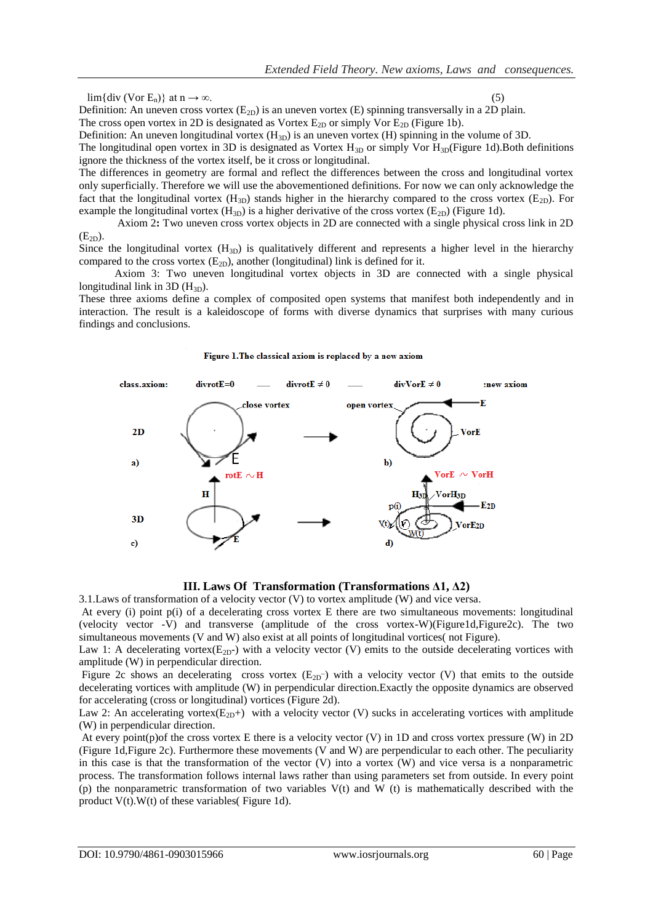$\lim{\div}$  (Vor E<sub>n</sub>)} at  $n \to \infty$ .

Definition: An uneven cross vortex  $(E_{2D})$  is an uneven vortex  $(E)$  spinning transversally in a 2D plain.

The cross open vortex in 2D is designated as Vortex  $E_{2D}$  or simply Vor  $E_{2D}$  (Figure 1b).

Definition: An uneven longitudinal vortex  $(H_{3D})$  is an uneven vortex  $(H)$  spinning in the volume of 3D. The longitudinal open vortex in 3D is designated as Vortex  $H_{3D}$  or simply Vor  $H_{3D}$ (Figure 1d).Both definitions

ignore the thickness of the vortex itself, be it cross or longitudinal.

The differences in geometry are formal and reflect the differences between the cross and longitudinal vortex only superficially. Therefore we will use the abovementioned definitions. For now we can only acknowledge the fact that the longitudinal vortex  $(H_{3D})$  stands higher in the hierarchy compared to the cross vortex  $(E_{2D})$ . For example the longitudinal vortex  $(H_{3D})$  is a higher derivative of the cross vortex  $(E_{2D})$  (Figure 1d).

 Axiom 2**:** Two uneven cross vortex objects in 2D are connected with a single physical cross link in 2D  $(E_{2D})$ .

Since the longitudinal vortex  $(H_{3D})$  is qualitatively different and represents a higher level in the hierarchy compared to the cross vortex  $(E_{2D})$ , another (longitudinal) link is defined for it.

 Axiom 3: Two uneven longitudinal vortex objects in 3D are connected with a single physical longitudinal link in 3D  $(H_{3D})$ .

These three axioms define a complex of composited open systems that manifest both independently and in interaction. The result is a kaleidoscope of forms with diverse dynamics that surprises with many curious findings and conclusions.

#### Figure 1. The classical axiom is replaced by a new axiom



**III. Laws Of Transformation (Transformations Δ1, Δ2)**

3.1.Laws of transformation of a velocity vector (V) to vortex amplitude (W) and vice versa.

At every (i) point p(i) of a decelerating cross vortex E there are two simultaneous movements: longitudinal (velocity vector -V) and transverse (amplitude of the cross vortex-W)(Figure1d,Figure2c). The two simultaneous movements (V and W) also exist at all points of longitudinal vortices( not Figure).

Law 1: A decelerating vortex( $E_{2D}$ -) with a velocity vector (V) emits to the outside decelerating vortices with amplitude (W) in perpendicular direction.

Figure 2c shows an decelerating cross vortex  $(E_{2D})$  with a velocity vector (V) that emits to the outside decelerating vortices with amplitude (W) in perpendicular direction.Exactly the opposite dynamics are observed for accelerating (cross or longitudinal) vortices (Figure 2d).

Law 2: An accelerating vortex( $E_{2D}$ +) with a velocity vector (V) sucks in accelerating vortices with amplitude (W) in perpendicular direction.

At every point(p)of the cross vortex E there is a velocity vector  $(V)$  in 1D and cross vortex pressure  $(W)$  in 2D (Figure 1d,Figure 2c). Furthermore these movements (V and W) are perpendicular to each other. The peculiarity in this case is that the transformation of the vector (V) into a vortex (W) and vice versa is a nonparametric process. The transformation follows internal laws rather than using parameters set from outside. In every point (p) the nonparametric transformation of two variables V(t) and W (t) is mathematically described with the product V(t).W(t) of these variables( Figure 1d).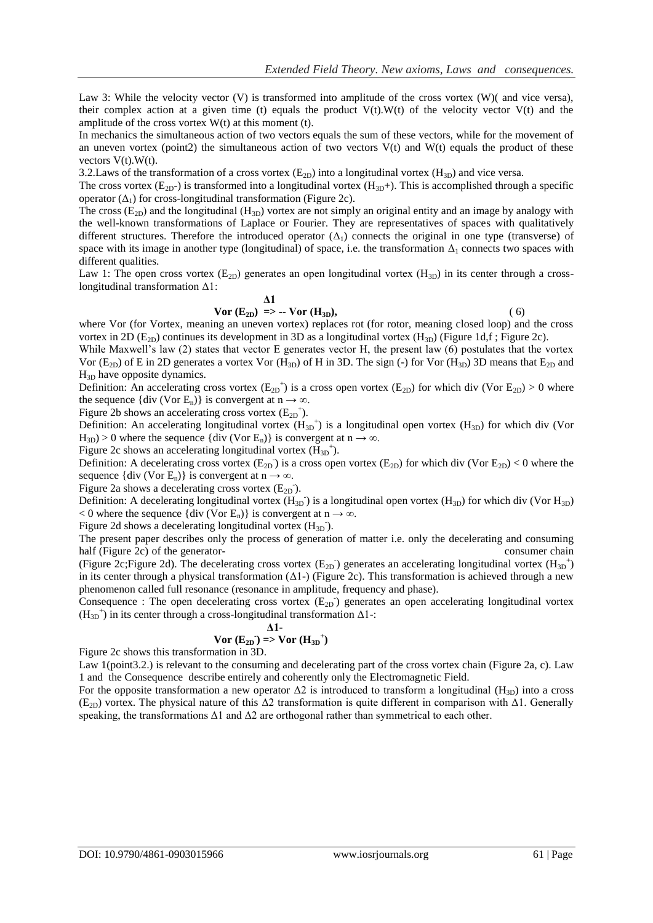Law 3: While the velocity vector (V) is transformed into amplitude of the cross vortex (W)( and vice versa), their complex action at a given time (t) equals the product  $V(t)$ . W(t) of the velocity vector  $V(t)$  and the amplitude of the cross vortex  $W(t)$  at this moment (t).

In mechanics the simultaneous action of two vectors equals the sum of these vectors, while for the movement of an uneven vortex (point2) the simultaneous action of two vectors  $V(t)$  and  $W(t)$  equals the product of these vectors  $V(t)$ . W(t).

3.2. Laws of the transformation of a cross vortex  $(E_{2D})$  into a longitudinal vortex  $(H_{3D})$  and vice versa.

The cross vortex  $(E_{2D})$  is transformed into a longitudinal vortex  $(H_{3D}+)$ . This is accomplished through a specific operator  $(\Delta_1)$  for cross-longitudinal transformation (Figure 2c).

The cross  $(E_{2D})$  and the longitudinal  $(H_{3D})$  vortex are not simply an original entity and an image by analogy with the well-known transformations of Laplace or Fourier. They are representatives of spaces with qualitatively different structures. Therefore the introduced operator  $(\Delta_1)$  connects the original in one type (transverse) of space with its image in another type (longitudinal) of space, i.e. the transformation  $\Delta_1$  connects two spaces with different qualities.

Law 1: The open cross vortex  $(E_{2D})$  generates an open longitudinal vortex  $(H_{3D})$  in its center through a crosslongitudinal transformation Δ1:

$$
\Delta 1
$$
  
 
$$
\text{Vor } (\mathbf{E}_{2\mathbf{D}}) \implies -\text{Vor } (\mathbf{H}_{3\mathbf{D}}),
$$
 (6)

where Vor (for Vortex, meaning an uneven vortex) replaces rot (for rotor, meaning closed loop) and the cross vortex in 2D ( $E_{2D}$ ) continues its development in 3D as a longitudinal vortex ( $H_{3D}$ ) (Figure 1d,f; Figure 2c).

While Maxwell's law (2) states that vector E generates vector H, the present law (6) postulates that the vortex Vor  $(E_{2D})$  of E in 2D generates a vortex Vor  $(H_{3D})$  of H in 3D. The sign (-) for Vor  $(H_{3D})$  3D means that  $E_{2D}$  and  $H_{3D}$  have opposite dynamics.

Definition: An accelerating cross vortex  $(E_{2D}^+)$  is a cross open vortex  $(E_{2D})$  for which div (Vor  $E_{2D}$ ) > 0 where the sequence {div (Vor E<sub>n</sub>)} is convergent at  $n \rightarrow \infty$ .

Figure 2b shows an accelerating cross vortex  $(E_{2D}^+)$ .

Definition: An accelerating longitudinal vortex  $(H_{3D}^+)$  is a longitudinal open vortex  $(H_{3D})$  for which div (Vor  $H_{3D}$ ) > 0 where the sequence {div (Vor E<sub>n</sub>)} is convergent at  $n \rightarrow \infty$ .

Figure 2c shows an accelerating longitudinal vortex  $(H_{3D}^{\dagger})$ .

Definition: A decelerating cross vortex  $(E_{2D})$  is a cross open vortex  $(E_{2D})$  for which div (Vor  $E_{2D}$ ) < 0 where the sequence {div (Vor E<sub>n</sub>)} is convergent at  $n \rightarrow \infty$ .

Figure 2a shows a decelerating cross vortex  $(E_{2D})$ .

Definition: A decelerating longitudinal vortex  $(H_{3D})$  is a longitudinal open vortex  $(H_{3D})$  for which div (Vor  $H_{3D}$ )  $< 0$  where the sequence {div (Vor E<sub>n</sub>)} is convergent at n  $\rightarrow \infty$ .

Figure 2d shows a decelerating longitudinal vortex  $(H_{3D})$ .

The present paper describes only the process of generation of matter i.e. only the decelerating and consuming half (Figure 2c) of the generator- consumer chain

(Figure 2c; Figure 2d). The decelerating cross vortex  $(E_{2D})$  generates an accelerating longitudinal vortex  $(H_{3D}^+)$ in its center through a physical transformation ( $\Delta$ 1-) (Figure 2c). This transformation is achieved through a new phenomenon called full resonance (resonance in amplitude, frequency and phase).

Consequence : The open decelerating cross vortex  $(E_{2D})$  generates an open accelerating longitudinal vortex  $(H_{3D}^{\dagger})$  in its center through a cross-longitudinal transformation  $\Delta 1$ -:

### **Δ1-**

$$
Vor (E_{2D}) \Rightarrow Vor (H_{3D}^+)
$$

Figure 2c shows this transformation in 3D.

Law 1(point3.2.) is relevant to the consuming and decelerating part of the cross vortex chain (Figure 2a, c). Law 1 and the Consequence describe entirely and coherently only the Electromagnetic Field.

For the opposite transformation a new operator  $\Delta 2$  is introduced to transform a longitudinal (H<sub>3D</sub>) into a cross (E<sub>2D</sub>) vortex. The physical nature of this  $\Delta 2$  transformation is quite different in comparison with  $\Delta 1$ . Generally speaking, the transformations  $\Delta 1$  and  $\Delta 2$  are orthogonal rather than symmetrical to each other.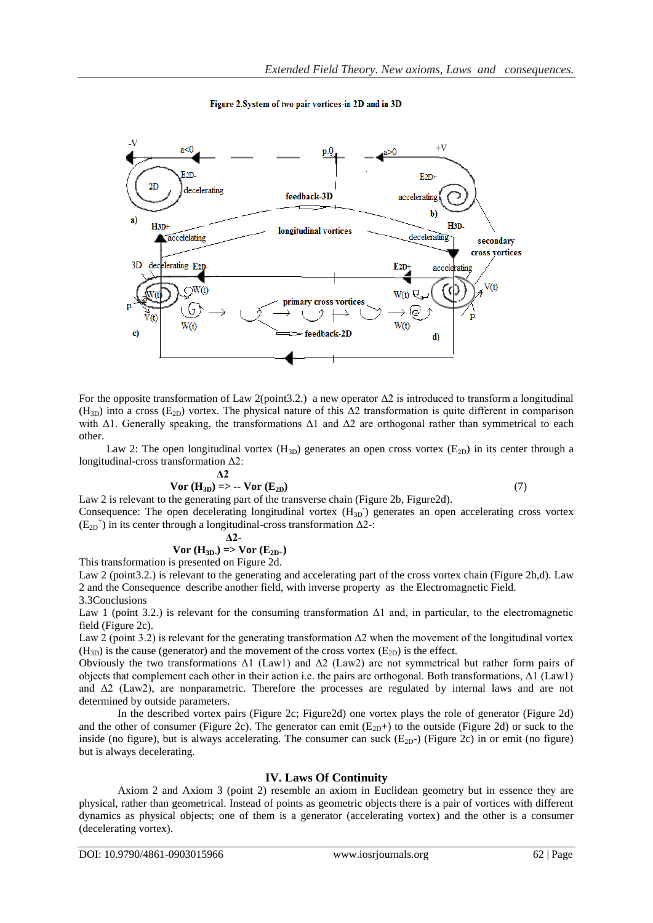

Figure 2. System of two pair vortices-in 2D and in 3D

For the opposite transformation of Law 2(point3.2.) a new operator  $\Delta 2$  is introduced to transform a longitudinal  $(H_{3D})$  into a cross  $(E_{2D})$  vortex. The physical nature of this  $\Delta 2$  transformation is quite different in comparison with  $\Delta$ 1. Generally speaking, the transformations  $\Delta$ 1 and  $\Delta$ 2 are orthogonal rather than symmetrical to each other.

Law 2: The open longitudinal vortex  $(H_{3D})$  generates an open cross vortex  $(E_{2D})$  in its center through a longitudinal-cross transformation Δ2:

$$
\Delta 2
$$
  
Var (H<sub>3D</sub>) => -**V**or (E<sub>2D</sub>) (7)

Law 2 is relevant to the generating part of the transverse chain (Figure 2b, Figure 2d). Consequence: The open decelerating longitudinal vortex  $(H_{3D})$  generates an open accelerating cross vortex  $(E_{2D}^+)$  in its center through a longitudinal-cross transformation  $\Delta 2$ -:

$$
\Delta 2
$$
  
Vor (H<sub>3D</sub>) => Vor (E<sub>2D+</sub>)

This transformation is presented on Figure 2d.

Law 2 (point 3.2.) is relevant to the generating and accelerating part of the cross vortex chain (Figure 2b,d). Law 2 and the Consequence describe another field, with inverse property as the Electromagnetic Field. 3.3Conclusions

Law 1 (point 3.2.) is relevant for the consuming transformation  $\Delta 1$  and, in particular, to the electromagnetic field (Figure 2c).

Law 2 (point 3.2) is relevant for the generating transformation  $\Delta 2$  when the movement of the longitudinal vortex  $(H_{3D})$  is the cause (generator) and the movement of the cross vortex  $(E_{2D})$  is the effect.

Obviously the two transformations  $\Delta 1$  (Law1) and  $\Delta 2$  (Law2) are not symmetrical but rather form pairs of objects that complement each other in their action i.e. the pairs are orthogonal. Both transformations, Δ1 (Law1) and  $\Delta$ 2 (Law2), are nonparametric. Therefore the processes are regulated by internal laws and are not determined by outside parameters.

In the described vortex pairs (Figure 2c; Figure2d) one vortex plays the role of generator (Figure 2d) and the other of consumer (Figure 2c). The generator can emit  $(E_{2D}+)$  to the outside (Figure 2d) or suck to the inside (no figure), but is always accelerating. The consumer can suck  $(E_{2D^-})$  (Figure 2c) in or emit (no figure) but is always decelerating.

# **IV. Laws Of Continuity**

Axiom 2 and Axiom 3 (point 2) resemble an axiom in Euclidean geometry but in essence they are physical, rather than geometrical. Instead of points as geometric objects there is a pair of vortices with different dynamics as physical objects; one of them is a generator (accelerating vortex) and the other is a consumer (decelerating vortex).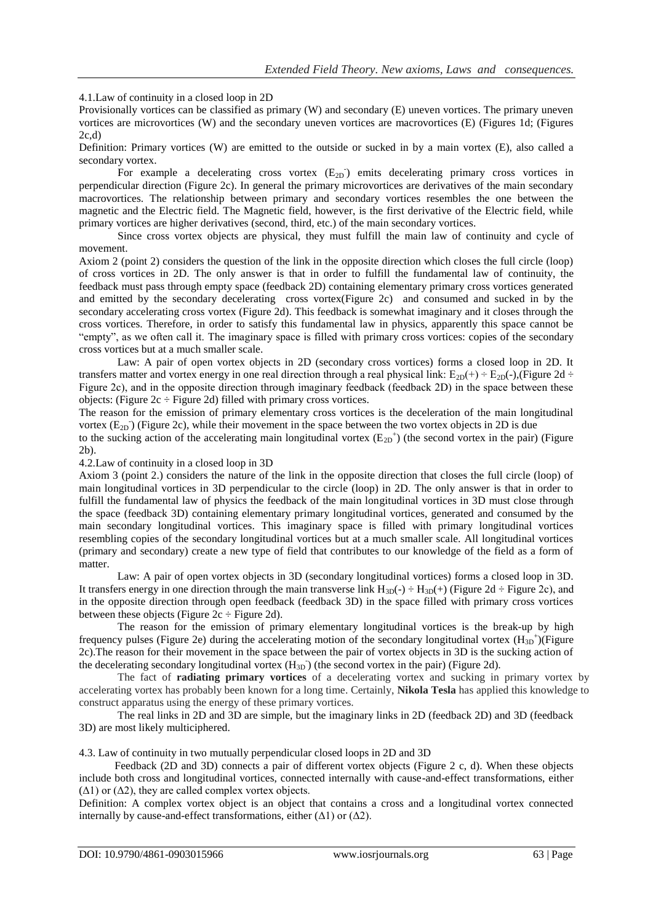# 4.1.Law of continuity in a closed loop in 2D

Provisionally vortices can be classified as primary (W) and secondary (E) uneven vortices. The primary uneven vortices are microvortices (W) and the secondary uneven vortices are macrovortices (E) (Figures 1d; (Figures 2c,d)

Definition: Primary vortices (W) are emitted to the outside or sucked in by a main vortex (E), also called a secondary vortex.

For example a decelerating cross vortex  $(E_{2D})$  emits decelerating primary cross vortices in perpendicular direction (Figure 2c). In general the primary microvortices are derivatives of the main secondary macrovortices. The relationship between primary and secondary vortices resembles the one between the magnetic and the Electric field. The Magnetic field, however, is the first derivative of the Electric field, while primary vortices are higher derivatives (second, third, etc.) of the main secondary vortices.

Since cross vortex objects are physical, they must fulfill the main law of continuity and cycle of movement.

Axiom 2 (point 2) considers the question of the link in the opposite direction which closes the full circle (loop) of cross vortices in 2D. The only answer is that in order to fulfill the fundamental law of continuity, the feedback must pass through empty space (feedback 2D) containing elementary primary cross vortices generated and emitted by the secondary decelerating cross vortex(Figure 2c) and consumed and sucked in by the secondary accelerating cross vortex (Figure 2d). This feedback is somewhat imaginary and it closes through the cross vortices. Therefore, in order to satisfy this fundamental law in physics, apparently this space cannot be "empty", as we often call it. The imaginary space is filled with primary cross vortices: copies of the secondary cross vortices but at a much smaller scale.

 Law: A pair of open vortex objects in 2D (secondary cross vortices) forms a closed loop in 2D. It transfers matter and vortex energy in one real direction through a real physical link:  $E_{2D}(+) \div E_{2D}(.)$ ,(Figure 2d  $\div$ Figure 2c), and in the opposite direction through imaginary feedback (feedback 2D) in the space between these objects: (Figure  $2c \div$  Figure 2d) filled with primary cross vortices.

The reason for the emission of primary elementary cross vortices is the deceleration of the main longitudinal vortex  $(E_{2D})$  (Figure 2c), while their movement in the space between the two vortex objects in 2D is due

to the sucking action of the accelerating main longitudinal vortex  $(E_{2D}^+)$  (the second vortex in the pair) (Figure 2b).

# 4.2.Law of continuity in a closed loop in 3D

Axiom 3 (point 2.) considers the nature of the link in the opposite direction that closes the full circle (loop) of main longitudinal vortices in 3D perpendicular to the circle (loop) in 2D. The only answer is that in order to fulfill the fundamental law of physics the feedback of the main longitudinal vortices in 3D must close through the space (feedback 3D) containing elementary primary longitudinal vortices, generated and consumed by the main secondary longitudinal vortices. This imaginary space is filled with primary longitudinal vortices resembling copies of the secondary longitudinal vortices but at a much smaller scale. All longitudinal vortices (primary and secondary) create a new type of field that contributes to our knowledge of the field as a form of matter.

 Law: A pair of open vortex objects in 3D (secondary longitudinal vortices) forms a closed loop in 3D. It transfers energy in one direction through the main transverse link  $H_{3D}(-) \div H_{3D}(+)$  (Figure 2d  $\div$  Figure 2c), and in the opposite direction through open feedback (feedback 3D) in the space filled with primary cross vortices between these objects (Figure  $2c \div$  Figure 2d).

 The reason for the emission of primary elementary longitudinal vortices is the break-up by high frequency pulses (Figure 2e) during the accelerating motion of the secondary longitudinal vortex  $(H_{3D}^+)(Figure 1)$ 2c).The reason for their movement in the space between the pair of vortex objects in 3D is the sucking action of the decelerating secondary longitudinal vortex  $(H_{3D})$  (the second vortex in the pair) (Figure 2d).

The fact of **radiating primary vortices** of a decelerating vortex and sucking in primary vortex by accelerating vortex has probably been known for a long time. Certainly, **Nikola Tesla** has applied this knowledge to construct apparatus using the energy of these primary vortices.

The real links in 2D and 3D are simple, but the imaginary links in 2D (feedback 2D) and 3D (feedback 3D) are most likely multiciphered.

4.3. Law of continuity in two mutually perpendicular closed loops in 2D and 3D

 Feedback (2D and 3D) connects a pair of different vortex objects (Figure 2 c, d). When these objects include both cross and longitudinal vortices, connected internally with cause-and-effect transformations, either  $(\Delta 1)$  or  $(\Delta 2)$ , they are called complex vortex objects.

Definition: A complex vortex object is an object that contains a cross and a longitudinal vortex connected internally by cause-and-effect transformations, either  $(\Delta 1)$  or  $(\Delta 2)$ .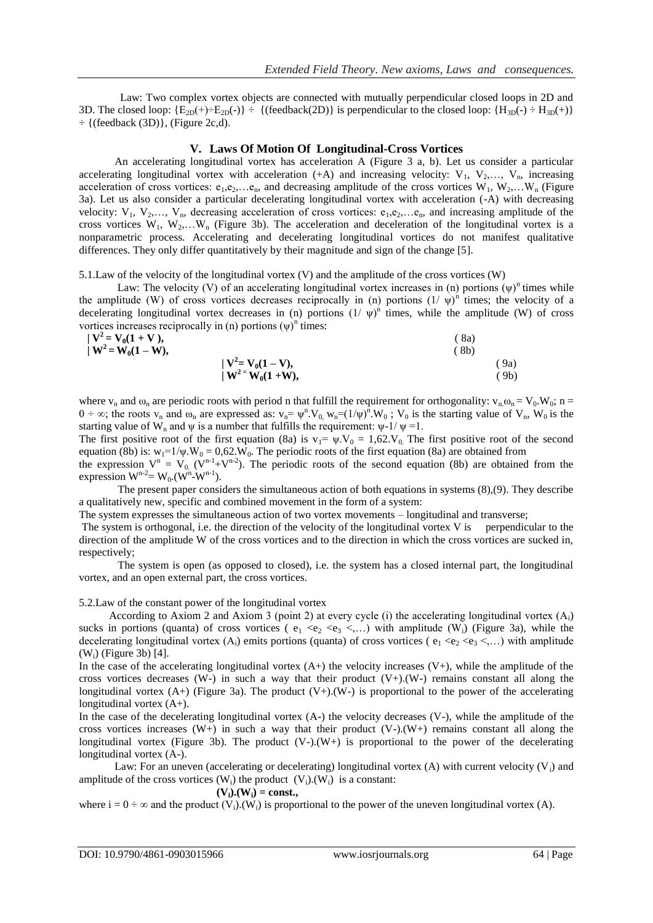Law: Two complex vortex objects are connected with mutually perpendicular closed loops in 2D and 3D. The closed loop:  $\{E_{2D}(+) \div E_{2D}(\cdot)\} \div \{(feedback(2D))\}$  is perpendicular to the closed loop:  $\{H_{3D}(\cdot) \div H_{3D}(\cdot)\}$  $\div$  {(feedback (3D)}, (Figure 2c,d).

### **V. Laws Of Motion Of Longitudinal-Cross Vortices**

 An accelerating longitudinal vortex has acceleration A (Figure 3 a, b). Let us consider a particular accelerating longitudinal vortex with acceleration (+A) and increasing velocity:  $V_1$ ,  $V_2$ ,...,  $V_n$ , increasing acceleration of cross vortices:  $e_1, e_2, \ldots, e_n$ , and decreasing amplitude of the cross vortices  $W_1, W_2, \ldots, W_n$  (Figure 3a). Let us also consider a particular decelerating longitudinal vortex with acceleration (-A) with decreasing velocity:  $V_1, V_2, \ldots, V_n$ , decreasing acceleration of cross vortices:  $e_1, e_2, \ldots e_n$ , and increasing amplitude of the cross vortices  $W_1, W_2,...W_n$  (Figure 3b). The acceleration and deceleration of the longitudinal vortex is a nonparametric process. Accelerating and decelerating longitudinal vortices do not manifest qualitative differences. They only differ quantitatively by their magnitude and sign of the change [5].

5.1.Law of the velocity of the longitudinal vortex (V) and the amplitude of the cross vortices (W)

Law: The velocity (V) of an accelerating longitudinal vortex increases in (n) portions  $(\psi)^n$  times while the amplitude (W) of cross vortices decreases reciprocally in (n) portions  $(1/\psi)^n$  times; the velocity of a decelerating longitudinal vortex decreases in (n) portions  $(1/\psi)^n$  times, while the amplitude (W) of cross vortices increases reciprocally in (n) portions  $(\psi)^n$  times:

| $ V^2 = V_0(1 + V),$ |                        | 8a) |
|----------------------|------------------------|-----|
| $ W^2 = W_0(1 - W),$ |                        | 8b) |
|                      | $ V^2 = V_0(1 - V),$   | 9a) |
|                      | $ W^{2} = W_0(1 + W),$ | 9b) |

where  $v_n$  and  $\omega_n$  are periodic roots with period n that fulfill the requirement for orthogonality:  $v_n \omega_n = V_0$ .  $W_0$ ; n =  $0 \div \infty$ ; the roots v<sub>n</sub> and  $\omega_n$  are expressed as: v<sub>n</sub>=  $\psi^n$ . V<sub>0</sub>, w<sub>n</sub>= $(1/\psi)^n$ . W<sub>0</sub>; V<sub>0</sub> is the starting value of V<sub>n</sub>, W<sub>0</sub> is the starting value of W<sub>n</sub> and  $\psi$  is a number that fulfills the requirement:  $\psi$ -1/ $\psi$  =1.

The first positive root of the first equation (8a) is  $v_1 = \psi V_0 = 1.62$ . The first positive root of the second equation (8b) is:  $w_1 = 1/\psi W_0 = 0.62$ . W<sub>0</sub>. The periodic roots of the first equation (8a) are obtained from equation (8b) is:  $w_1=1/\psi$ .  $W_0 = 0.62$ . W<sub>0</sub>. The periodic roots of the first equation (8a) are obtained from

the expression  $V^n = V_0$  ( $V^{n-1} + V^{n-2}$ ). The periodic roots of the second equation (8b) are obtained from the expression  $W^{n-2} = W_0$ .  $(W^n-W^{n-1})$ .

The present paper considers the simultaneous action of both equations in systems (8),(9). They describe a qualitatively new, specific and combined movement in the form of a system:

The system expresses the simultaneous action of two vortex movements – longitudinal and transverse;

The system is orthogonal, i.e. the direction of the velocity of the longitudinal vortex V is perpendicular to the direction of the amplitude W of the cross vortices and to the direction in which the cross vortices are sucked in, respectively;

The system is open (as opposed to closed), i.e. the system has a closed internal part, the longitudinal vortex, and an open external part, the cross vortices.

5.2.Law of the constant power of the longitudinal vortex

According to Axiom 2 and Axiom 3 (point 2) at every cycle (i) the accelerating longitudinal vortex  $(A_i)$ sucks in portions (quanta) of cross vortices ( $e_1 \ll e_2 \ll e_3 \ll ...$ ) with amplitude (W<sub>i</sub>) (Figure 3a), while the decelerating longitudinal vortex  $(A_i)$  emits portions (quanta) of cross vortices ( $e_1 < e_2 < e_3 < ...$ ) with amplitude (Wi) (Figure 3b) [4].

In the case of the accelerating longitudinal vortex  $(A+)$  the velocity increases  $(V+)$ , while the amplitude of the cross vortices decreases (W-) in such a way that their product (V+).(W-) remains constant all along the longitudinal vortex  $(A+)$  (Figure 3a). The product  $(V+)(W-)$  is proportional to the power of the accelerating longitudinal vortex  $(A+)$ .

In the case of the decelerating longitudinal vortex  $(A<sub>-</sub>)$  the velocity decreases  $(V<sub>-</sub>)$ , while the amplitude of the cross vortices increases  $(W+)$  in such a way that their product  $(V-)(W+)$  remains constant all along the longitudinal vortex (Figure 3b). The product  $(V<sub>-</sub>)(W<sub>+</sub>)$  is proportional to the power of the decelerating longitudinal vortex  $(A<sub>-</sub>)$ .

Law: For an uneven (accelerating or decelerating) longitudinal vortex (A) with current velocity  $(V_i)$  and amplitude of the cross vortices  $(W_i)$  the product  $(V_i)$ . $(W_i)$  is a constant:

$$
(\mathbf{V}_i).(\mathbf{W}_i) = \text{const.},
$$

where  $i = 0 \div \infty$  and the product  $(V_i)$ .  $(W_i)$  is proportional to the power of the uneven longitudinal vortex (A).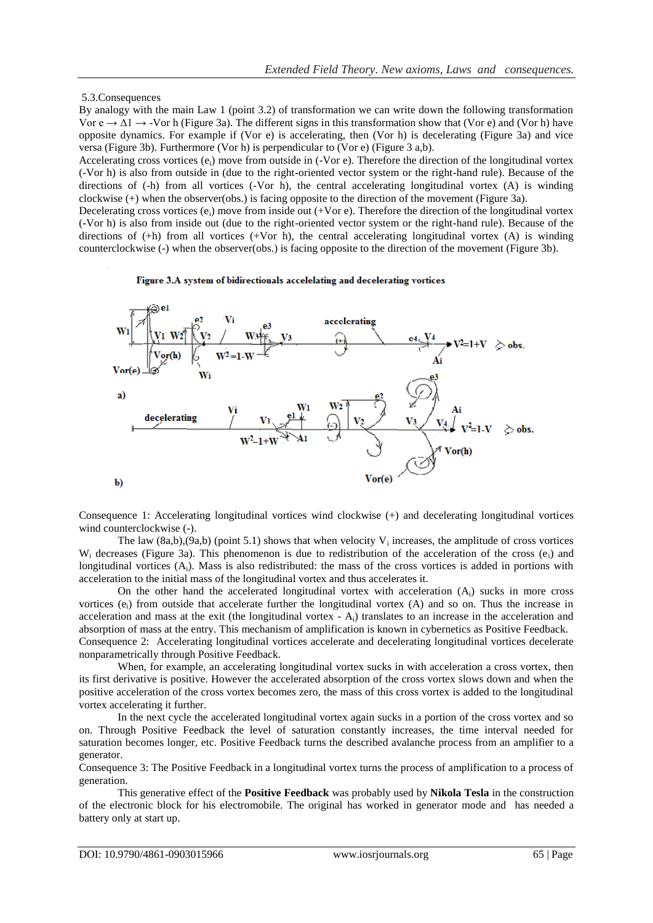### 5.3.Consequences

By analogy with the main Law 1 (point 3.2) of transformation we can write down the following transformation Vor  $e \rightarrow \Delta 1 \rightarrow$  -Vor h (Figure 3a). The different signs in this transformation show that (Vor e) and (Vor h) have opposite dynamics. For example if (Vor e) is accelerating, then (Vor h) is decelerating (Figure 3a) and vice versa (Figure 3b). Furthermore (Vor h) is perpendicular to (Vor e) (Figure 3 a,b).

Accelerating cross vortices  $(e_i)$  move from outside in (-Vor e). Therefore the direction of the longitudinal vortex (-Vor h) is also from outside in (due to the right-oriented vector system or the right-hand rule). Because of the directions of (-h) from all vortices (-Vor h), the central accelerating longitudinal vortex (A) is winding clockwise (+) when the observer(obs.) is facing opposite to the direction of the movement (Figure 3a).

Decelerating cross vortices (e<sub>i</sub>) move from inside out  $(+V$ or e). Therefore the direction of the longitudinal vortex (-Vor h) is also from inside out (due to the right-oriented vector system or the right-hand rule). Because of the directions of (+h) from all vortices (+Vor h), the central accelerating longitudinal vortex (A) is winding counterclockwise (-) when the observer(obs.) is facing opposite to the direction of the movement (Figure 3b).

Figure 3.A system of bidirectionals accelelating and decelerating vortices



Consequence 1: Accelerating longitudinal vortices wind clockwise (+) and decelerating longitudinal vortices wind counterclockwise (-).

The law  $(8a,b),(9a,b)$  (point 5.1) shows that when velocity  $V_i$  increases, the amplitude of cross vortices  $W_i$  decreases (Figure 3a). This phenomenon is due to redistribution of the acceleration of the cross (e<sub>i</sub>) and longitudinal vortices  $(A_i)$ . Mass is also redistributed: the mass of the cross vortices is added in portions with acceleration to the initial mass of the longitudinal vortex and thus accelerates it.

On the other hand the accelerated longitudinal vortex with acceleration  $(A<sub>i</sub>)$  sucks in more cross vortices (e<sub>i</sub>) from outside that accelerate further the longitudinal vortex (A) and so on. Thus the increase in acceleration and mass at the exit (the longitudinal vortex  $- A_i$ ) translates to an increase in the acceleration and absorption of mass at the entry. This mechanism of amplification is known in cybernetics as Positive Feedback. Consequence 2: Accelerating longitudinal vortices accelerate and decelerating longitudinal vortices decelerate nonparametrically through Positive Feedback.

When, for example, an accelerating longitudinal vortex sucks in with acceleration a cross vortex, then its first derivative is positive. However the accelerated absorption of the cross vortex slows down and when the positive acceleration of the cross vortex becomes zero, the mass of this cross vortex is added to the longitudinal vortex accelerating it further.

In the next cycle the accelerated longitudinal vortex again sucks in a portion of the cross vortex and so on. Through Positive Feedback the level of saturation constantly increases, the time interval needed for saturation becomes longer, etc. Positive Feedback turns the described avalanche process from an amplifier to a generator.

Consequence 3: The Positive Feedback in a longitudinal vortex turns the process of amplification to a process of generation.

This generative effect of the **Positive Feedback** was probably used by **Nikola Tesla** in the construction of the electronic block for his electromobile. The original has worked in generator mode and has needed a battery only at start up.